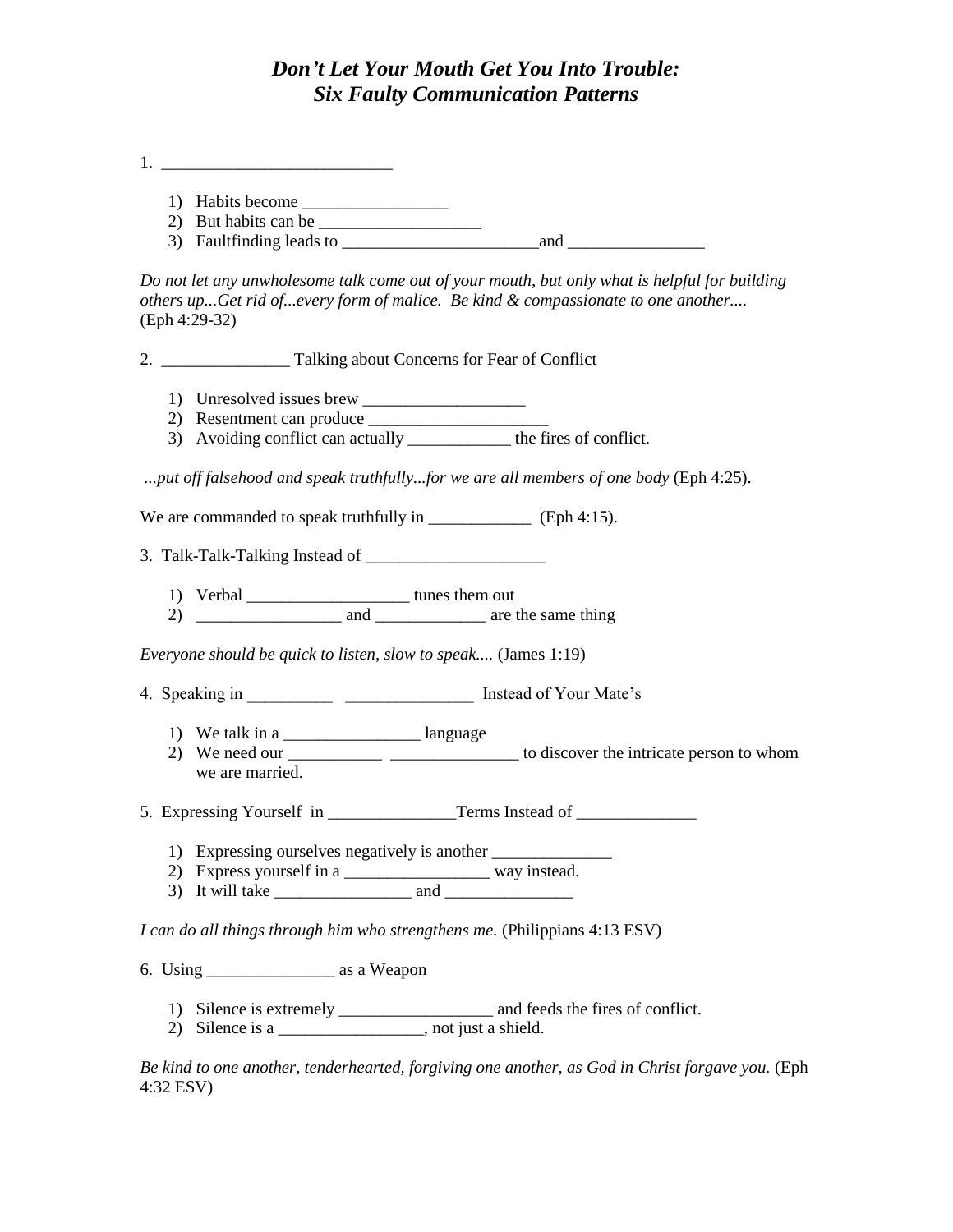## *Don't Let Your Mouth Get You Into Trouble: Six Faulty Communication Patterns*

1. \_\_\_\_\_\_\_\_\_\_\_\_\_\_\_\_\_\_\_\_\_\_\_\_\_\_\_

- 1) Habits become \_\_\_\_\_\_\_\_\_\_\_\_\_\_\_\_\_
- 2) But habits can be  $\frac{1}{2}$
- 3) Faultfinding leads to  $\frac{1}{\sqrt{3}}$  and  $\frac{1}{\sqrt{3}}$

*Do not let any unwholesome talk come out of your mouth, but only what is helpful for building others up...Get rid of...every form of malice. Be kind & compassionate to one another....* (Eph 4:29-32)

2. \_\_\_\_\_\_\_\_\_\_\_\_\_\_\_ Talking about Concerns for Fear of Conflict

- 1) Unresolved issues brew \_\_\_\_\_\_\_\_\_\_\_\_\_\_\_\_\_\_\_
- 2) Resentment can produce
- 3) Avoiding conflict can actually \_\_\_\_\_\_\_\_\_\_\_\_ the fires of conflict.

*...put off falsehood and speak truthfully...for we are all members of one body* (Eph 4:25).

We are commanded to speak truthfully in \_\_\_\_\_\_\_\_\_\_\_\_\_\_\_ (Eph 4:15).

3. Talk-Talk-Talking Instead of \_\_\_\_\_\_\_\_\_\_\_\_\_\_\_\_\_\_\_\_\_

1) Verbal \_\_\_\_\_\_\_\_\_\_\_\_\_\_\_\_\_\_\_\_\_\_\_\_\_\_\_ tunes them out

2) \_\_\_\_\_\_\_\_\_\_\_\_\_\_\_\_\_ and \_\_\_\_\_\_\_\_\_\_\_\_\_ are the same thing

*Everyone should be quick to listen, slow to speak....* (James 1:19)

- 4. Speaking in **Instead of Your Mate's** 
	- 1) We talk in a \_\_\_\_\_\_\_\_\_\_\_\_\_\_\_\_\_\_\_\_\_\_\_\_\_ language
	- 2) We need our \_\_\_\_\_\_\_\_\_\_\_ \_\_\_\_\_\_\_\_\_\_\_\_\_\_\_ to discover the intricate person to whom we are married.
- 5. Expressing Yourself in \_\_\_\_\_\_\_\_\_\_\_\_\_\_\_\_\_\_\_Terms Instead of
	- 1) Expressing ourselves negatively is another
	- 2) Express yourself in a \_\_\_\_\_\_\_\_\_\_\_\_\_\_\_\_\_\_\_\_\_ way instead.
	- $3)$  It will take and  $\qquad$

*I can do all things through him who strengthens me.* (Philippians 4:13 ESV)

6. Using  $\frac{1}{\sqrt{1-\frac{1}{n}}}\$  as a Weapon

- 1) Silence is extremely \_\_\_\_\_\_\_\_\_\_\_\_\_\_\_\_\_\_ and feeds the fires of conflict.
- 2) Silence is a \_\_\_\_\_\_\_\_\_\_\_\_\_\_\_, not just a shield.

*Be kind to one another, tenderhearted, forgiving one another, as God in Christ forgave you.* (Eph 4:32 ESV)